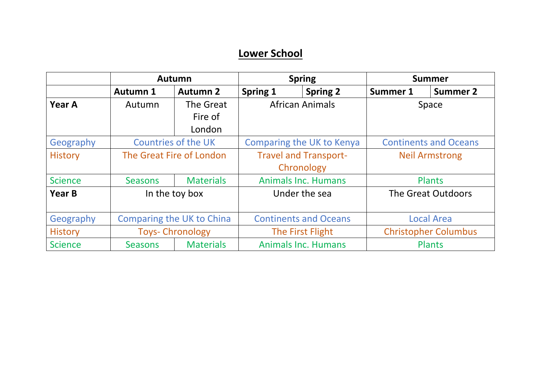## **Lower School**

|                | <b>Autumn</b>              |                          | <b>Spring</b>                               |                 | <b>Summer</b>                |                 |
|----------------|----------------------------|--------------------------|---------------------------------------------|-----------------|------------------------------|-----------------|
|                | <b>Autumn 1</b>            | <b>Autumn 2</b>          | Spring 1                                    | <b>Spring 2</b> | Summer 1                     | <b>Summer 2</b> |
| Year A         | Autumn                     | The Great                | <b>African Animals</b>                      |                 | Space                        |                 |
|                |                            | Fire of                  |                                             |                 |                              |                 |
|                |                            | London                   |                                             |                 |                              |                 |
| Geography      | <b>Countries of the UK</b> |                          | Comparing the UK to Kenya                   |                 | <b>Continents and Oceans</b> |                 |
| <b>History</b> |                            | The Great Fire of London | <b>Travel and Transport-</b>                |                 | <b>Neil Armstrong</b>        |                 |
|                |                            |                          | Chronology                                  |                 |                              |                 |
| <b>Science</b> | <b>Seasons</b>             | <b>Materials</b>         | <b>Animals Inc. Humans</b>                  |                 | <b>Plants</b>                |                 |
| <b>Year B</b>  |                            | In the toy box           | Under the sea                               |                 | The Great Outdoors           |                 |
| Geography      | Comparing the UK to China  |                          | <b>Continents and Oceans</b>                |                 | <b>Local Area</b>            |                 |
| <b>History</b> | <b>Toys- Chronology</b>    |                          | The First Flight                            |                 | <b>Christopher Columbus</b>  |                 |
| <b>Science</b> | <b>Seasons</b>             | <b>Materials</b>         | <b>Animals Inc. Humans</b><br><b>Plants</b> |                 |                              |                 |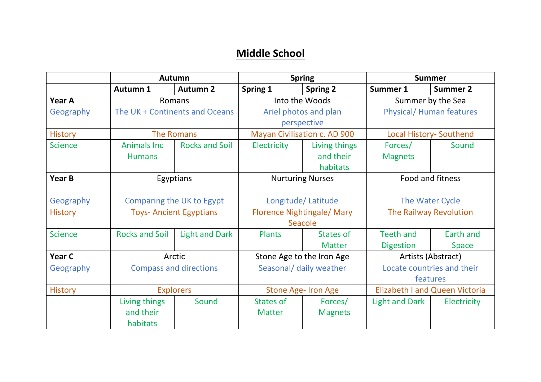## **Middle School**

|                | <b>Autumn</b>                          |                       | <b>Spring</b>                                |                                        | <b>Summer</b>                          |                           |
|----------------|----------------------------------------|-----------------------|----------------------------------------------|----------------------------------------|----------------------------------------|---------------------------|
|                | <b>Autumn 1</b>                        | <b>Autumn 2</b>       | <b>Spring 1</b>                              | <b>Spring 2</b>                        | Summer 1                               | <b>Summer 2</b>           |
| <b>Year A</b>  | Romans                                 |                       | Into the Woods                               |                                        | Summer by the Sea                      |                           |
| Geography      | The UK + Continents and Oceans         |                       | Ariel photos and plan<br>perspective         |                                        | <b>Physical/Human features</b>         |                           |
| <b>History</b> | <b>The Romans</b>                      |                       | <b>Mayan Civilisation c. AD 900</b>          |                                        | <b>Local History- Southend</b>         |                           |
| <b>Science</b> | <b>Animals Inc.</b><br><b>Humans</b>   | <b>Rocks and Soil</b> | <b>Electricity</b>                           | Living things<br>and their<br>habitats | Forces/<br><b>Magnets</b>              | Sound                     |
| Year B         | Egyptians                              |                       | <b>Nurturing Nurses</b>                      |                                        | Food and fitness                       |                           |
| Geography      | Comparing the UK to Egypt              |                       | Longitude/Latitude                           |                                        | The Water Cycle                        |                           |
| <b>History</b> | <b>Toys-Ancient Egyptians</b>          |                       | <b>Florence Nightingale/ Mary</b><br>Seacole |                                        | The Railway Revolution                 |                           |
| <b>Science</b> | <b>Rocks and Soil</b>                  | <b>Light and Dark</b> | <b>Plants</b>                                | <b>States of</b><br><b>Matter</b>      | <b>Teeth and</b><br><b>Digestion</b>   | Earth and<br><b>Space</b> |
| Year C         | Arctic                                 |                       | Stone Age to the Iron Age                    |                                        | Artists (Abstract)                     |                           |
| Geography      | <b>Compass and directions</b>          |                       | Seasonal/ daily weather                      |                                        | Locate countries and their<br>features |                           |
| <b>History</b> | <b>Explorers</b>                       |                       | Stone Age- Iron Age                          |                                        | <b>Elizabeth I and Queen Victoria</b>  |                           |
|                | Living things<br>and their<br>habitats | Sound                 | <b>States of</b><br><b>Matter</b>            | Forces/<br><b>Magnets</b>              | Light and Dark                         | Electricity               |